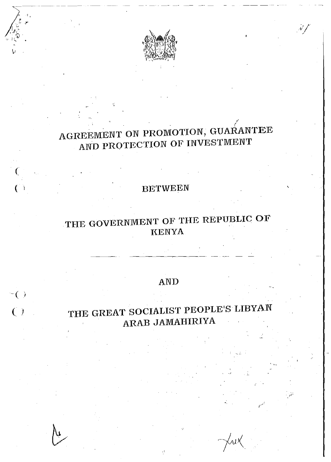

 $\mathscr{N}$ 

# AGREEMENT ON PROMOTION, GUARANTEE AND PROTECTION OF INVESTMENT

### **BETWEEN**

## THE GOVERNMENT OF THE REPUBLIC OF KENYA

### AND

 $\overline{a}$  ( )

 $\overline{C}$ 

# THE GREAT SOCIALIST PEOPLE'S LIBYAN ARAB JAMAHIRIYA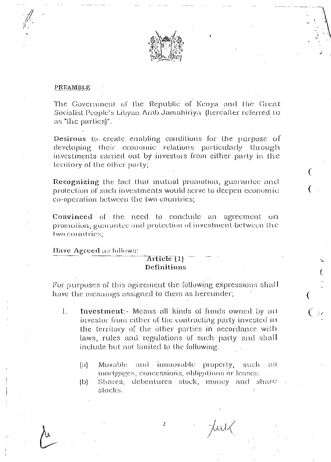

#### PREAMBLE

The Government of the Republic of Kenya and the Great Socialist People's Libyan Arab Jamahiriya (hereafter referred to as "the parties)".

Desirous to create enabling conditions for the purpose of developing their economic relations particularly through investments carried out by investors from either party in the territory of the other party;

Recognizing the fact that mutual promotion, guarantee and protection of such investments would serve to deepen economic co-operation between the two countries;

Convinced of the need to conclude an agreement on promotion, guarantee and protection of investment between the two countries;

Have Agreed as follows:

### Article (1) Definitions

For purposes of this agreement the following expressions shall have the meanings assigned to them as hereunder,

- $\mathbf{1}$ . Investment: Means all kinds of funds owned by an investor from either of the contracting party invested in the territory of the other parties in accordance with laws, rules and regulations of such party and shall include but not limited to the following:
	- $\{\mathrm{a}\}$ Movable and immovable property, such - 85 mortgages, concessions, obligations or leases.
	- Shares, debentures stock, money and share  $\{b\}$ stocks.

Julk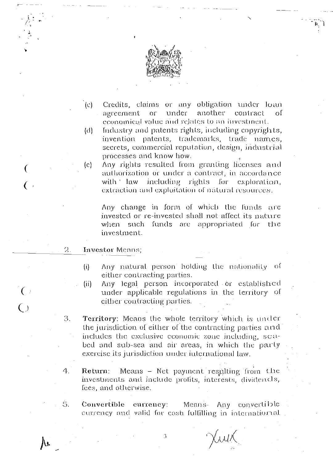

- $\left( c\right)$ Credits, claims or any obligation under loan under another agreement  $\overline{or}$ contract οf cconomical value and relates to an investment.
- Industry and patents rights, including copyrights,  $(d)$ invention patents, trademarks, trade names, secrets, commercial reputation, design, industrial processes and know how.
- Any rights resulted from granting licenses and  $(c)$ authorization or under a contract, in accordance with law including rights for exploration, extraction and exploitation of natural resources.

Any change in form of which the funds are invested or re-invested shall not affect its nature when such funds are appropriated for the investment.

#### $2.$ **Investor Means**;

 $\overline{(}$ 

 $\left( \begin{array}{c} \cdot \end{array} \right)$ 

 $\bigodot$ 

 $\overline{()}$ 

- Any natural person holding the nationality of  $(i)$ either contracting parties.
- Any legal person incorporated or established  $(ii)$ under applicable regulations in the territory of either contracting parties.
- 3. Territory: Means the whole territory which is under the jurisdiction of either of the contracting parties and includes the exclusive economic zone including, seabed and sub-sea and air areas, in which the party exercise its jurisdiction under international law.
- 4. Means - Net payment resulting from the Return: investments and include profits, interests, dividentls, fees, and otherwise.
- 5. Convertible eurrency: Means- Any convertible currency and valid for eash fulfilling in international

Juik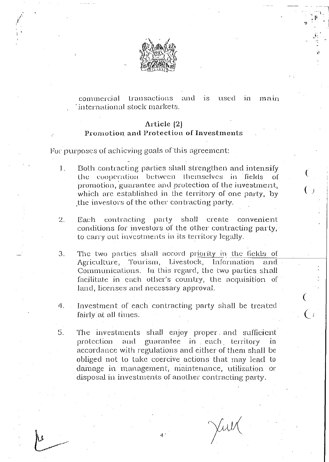

#### commercial transactions and is used in main international stock markets.

#### Article  $(2)$

#### Promotion and Protection of Investments

For purposes of achieving goals of this agreement:

- Both contracting parties shall strengthen and intensify  $1.$ the cooperation between themselves in fields  $\overline{O}$ promotion, guarantee and protection of the investment, which are established in the territory of one party, by the investors of the other contracting party.
- $2.$ Each contracting party shall create convenient conditions for investors of the other contracting party, to carry out investments in its territory legally.
- The two parties shall accord priority in the fields of 3. Agriculture, Tourism, Livestock, Information and Communications. In this regard, the two parties shall facilitate in each other's country, the acquisition of land, licenses and necessary approval.
- Investment of each contracting party shall be treated 각. fairly at all times.
- 5. The investments shall enjoy proper and sufficient and guarantee in each territory protection in accordance with regulations and either of them shall be obliged not to take coercive actions that may lead to damage in management, maintenance, utilization or disposal in investments of another contracting party.

Julk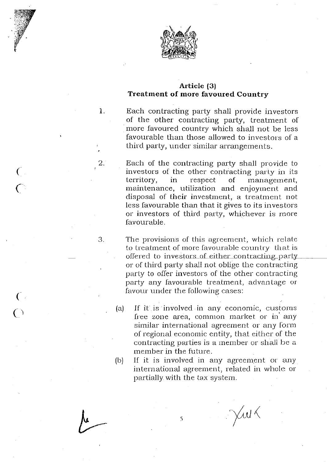

 $\left($ 

2.

'0 *J.* 

 $\overline{C}$ 

 $\overline{C}$ 

 $\overline{C}$ 

#### **Article** (3) **Treatment of more favoured Country**

1. Each contracting party shall provide investors of the other contracting party, treatment of more favoured country which shall not be less favourable than those allowed to investors of a third party, under similar arrangements.

> Each of the contracling party shall provide to investors of the other contracting party in its territory, in respect of management, maintenance, utilization and enjoyment and disposal of their investment, a treatment not less favourable than that it gives to its investors or investors of third party, whichever is more favourable.

The provisions of this agreement, which relate to treatment of more favourable country that is offered to investors of either contracting party or of third party shall not oblige the contracting party to offer investors of the other contracting party any favourable treatment, advantage or favour under the following cases:

- (a) If it is involved in any economic, customs free zone area, common market or in any similar international agreement or any form of regional economic entity, that either of the contracting parties is a member or shall be a 1nember in the future.
- (b) If it is involved in any agreement or any international agreement, related in whole or partially with the tax system.

5

Juk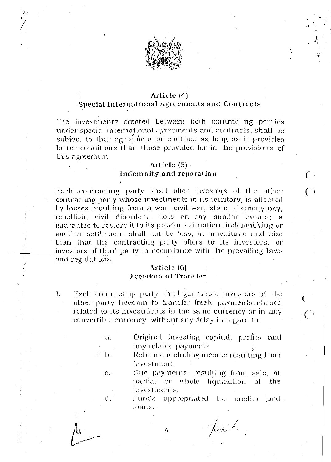

### Article (4) Special International Agreements and Contracts

The investments created between both contracting parties under special international agreements and contracts, shall be subject to that agreement or contract as long as it provides better conditions than those provided for in the provisions of this agreement.

#### Article  $(5)$ . Indemnity and reparation

Each contracting party shall offer investors of the other contracting party whose investments in its territory, is affected by losses resulting from a war, civil war, state of entergency, rebellion, civil disorders, riots or any similar events; a guarantee to restore it to its previous situation, indemnifying or another settlement shall not be less, in magnitude and size than that the contracting party offers to its investors, or investors of third party in accordance with the prevailing laws and regulations.

#### Article (6) **Freedom of Transfer**

- Each contracting party shall guarantee investors of the  $\mathbf{l}$ . other party freedom to transfer freely payments abroad related to its investments in the same currency or in any convertible currency without any delay in regard to:
	- Original investing capital, profits and  $\alpha$ any related payments
	- b. Returns, including income resulting from investment.
		- Due payments, resulting from sale, or partial or whole liquidation  $\sigma$ the investments.
			- Funds appropriated for credits -and loans.

Juik

6

 $\mathbf{C}$ .

d.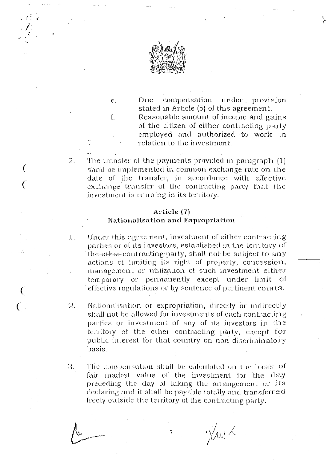

 $C<sub>1</sub>$ 

 $\mathfrak{l}$ .

€

compensation under provision Due. stated in Article (5) of this agreement.

Reasonable amount of income and gains of the citizen of either contracting party employed and authorized to work in relation to the investment.

The transfer of the payments provided in paragraph (1)  $\overline{2}$ . shall be implemented in common exchange rate on the date of the transfer, in accordance with effective exchange transfer of the contracting party that the investment is running in its territory.

#### Article (7) Nationalisation and Expropriation

- 1. Under this agreement, investment of either contracting parties or of its investors, established in the territory of the-other-contracting party, shall not be subject to any actions of limiting its right of property, concession, management or utilization of such investment either temporary or permanently except under limit of effective regulations or by sentence of pertinent courts.
- $2_{\odot}$ Nationalisation or expropriation, directly or indirectly shall not be allowed for investments of each contracting parties or investment of any of its investors in the territory of the other contracting party, except for public interest for that country on non discriminatory basis.
- $\mathfrak{Z}$ . The compensation shall be calculated on the basis of fair market value of the investment for the day preceding the day of taking the arrangement or its declaring and it shall be payable totally and transferred freely outside the territory of the contracting party.

 $\bigvee_{\mathcal{M}}$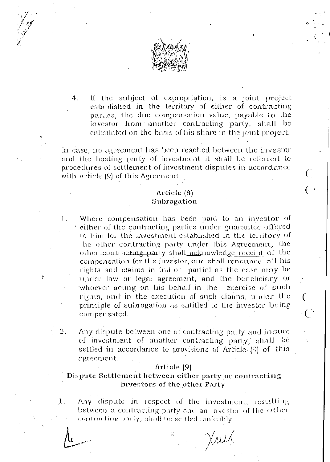

If the subject of expropriation, is a joint project  $\mathbf{4}$ established in the territory of either of contracting parties, the due compensation value, payable to the investor from another contracting party, shall be calculated on the basis of his share in the joint project.

In case, no agreement has been reached between the investor and the hosting party of investment it shall be referred to procedures of settlement of investment disputes in accordance with Article (9) of this Agreement.

#### Article (8) Subrogation

- Where compensation has been paid to an investor of 1. either of the contracting parties under guarantee offered to him for the investment established in the territory of the other contracting party under this Agreement, the other contracting party shall acknowledge receipt of the compensation for the investor, and shall renounce all his rights and claims in full or partial as the case may be under law or legal agreement, and the beneficiary or whoever acting on his behalf in the exercise of such rights, and in the execution of such claims, under the principle of subrogation as entitled to the investor being compensated.
- Any dispute between one of contracting party and insure  $2.$ of investment of another contracting party, shall be settled in accordance to provisions of Article (9) of this agreement.

#### Artiele (9)

#### Dispute Settlement between either party or contracting investors of the other Party

 $1$  .

Any dispute in respect of the investment, resulting between a contracting party and an investor of the other contracting party, shall be sellled amicably.

Juik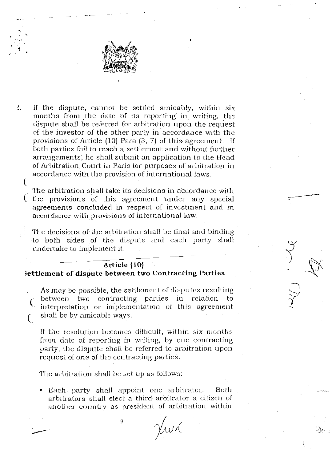

~ ' <sup>~</sup>.. **f** 

•

(

 $\frac{2}{3}$ If the dispute, cannot be settled amicably, within six months from the date of its reporting in writing, the dispute shall be referred for arbitration upon the request of the investor of the other party in accordance with the provisions of Article (10) Para (3, 7) of this agreement. If both parties fail to reach a settlement and without further arrangements; he shall submit an application to the Head of Arbitration Court in Paris for purposes of arbitration in accordance with the provision of international laws.

The arbitration shall take its decisions in accordance with ( the provisions of this agreement under any special agreements concluded in respect of investment and in accordance with provisions of international law.

The decisions of the arbitration shall be final and binding ·to both sides of the dispute and each party shall undertalce to implement it.

#### **Article jlO) Settlement of dispute between two Contracting Parties**

As may be possible, the setllemcnt of disputes resulting between two contracting parties in relation to interpretation or implementation of this agreement shall be by amicable ways.

If the resolution becomes difficult, within six months from date of reporting in writing, by one contracting party, the dispute shall be referred to arbitration upon request of one of the contracting parties.

The arbitration shall be set up as follows:-

9

• Each party shall appoint one arbitrator. Both arbitrators shall elect a third arbitrator a citizen of another country as president of arbitration within

Jry X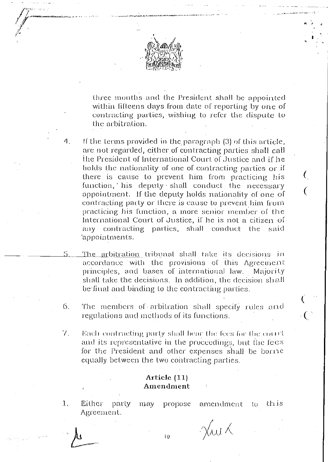

three months and the President shall be appointed within fifteens days from date of reporting by one of contracting parties, wishing to refer the dispute to the arbitration.

- If the terms provided in the paragraph (3) of this article, are not regarded, either of contracting parties shall call the President of International Court of Justice and if he bolds the nationality of one of contracting parties or if there is cause to prevent him from practicing his function, his deputy shall conduct the necessary appointment. If the deputy holds nationality of one of contracting party or there is cause to prevent him from practicing his function, a more senior member of the International Court of Justice, if he is not a citizen of any contracting parties, shall – conduct the. said 'appointments.
- <u>The arbitration t</u>ribunal shall take its decisions in accordance with the provisions of this Agreement principles, and bases of international law. Majority shall take the decisions. In addition, the decision shall be final and binding to the contracting parties.
- $6.$ The members of arbitration shall specify rules and regulations and methods of its functions.
- 7. Each contracting party shall bear the fees for the court and its representative in the proceedings, but the fees for the President and other expenses shall be borne equally between the two contracting parties.

#### Article (11) Amendment

 $1.$ 

4.

Either party this may propose amendment to Agreement.

 $\chi_{\text{old}}$ 

Ю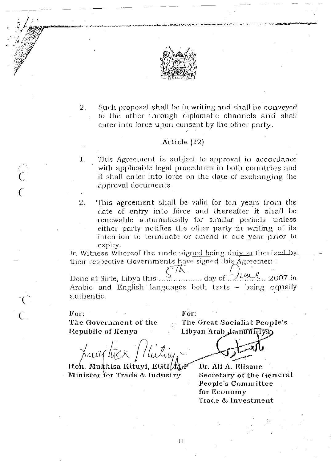

 $2.$ Such proposal shall be in writing and shall be conveyed to the other through diplomatic channels and shall enter into force upon consent by the other party.

#### Article  $(12)$

1. This Agreement is subject to approval in accordance with applicable legal procedures in both countries and it shall enter into force on the date of exchanging the approval documents.

2. This agreement shall be valid for ten years from the date of entry into force and thereafter it shall be renewable automatically for similar periods unless either party notifies the other party in writing of its intention to terminate or amend it one year prior to ехрігу.

In Witness Whereof the undersigned being duly authorized by their respective Governments have signed this Agreement.

 $\mathcal{A}$ 

Arabic and English languages both texts – being equally authentic.

For.

#### $For:$

The Government of the Republic of Kenya

The Great Socialist People's Libyan Arab Jamuniva

Hon. Mukhisa Kituyi, EGH/WGF Minister for Trade & Industry

Dr. Ali A. Elisaue **Secretary of the General** People's Committee for Economy Trade & Investment

 $\mathbf{H}$